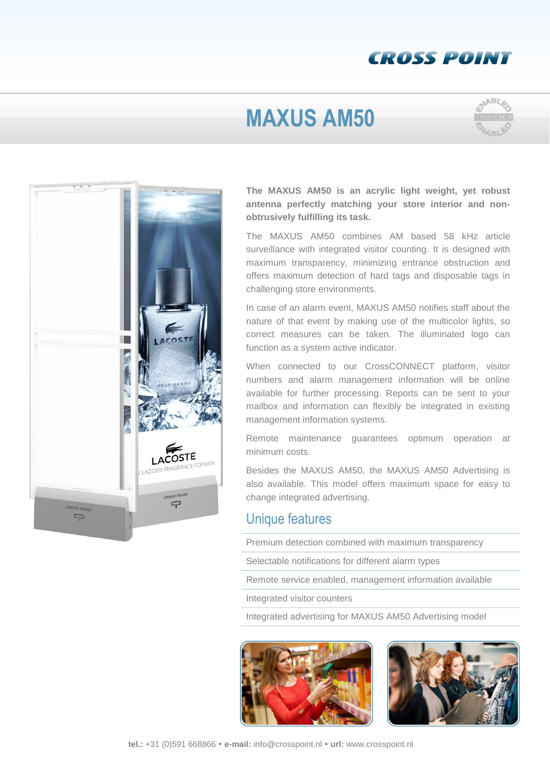### **CROSS POINT**

# **MAXUS AM50**





**The MAXUS AM50 is an acrylic light weight, yet robust antenna perfectly matching your store interior and nonobtrusively fulfilling its task.**

The MAXUS AM50 combines AM based 58 kHz article surveillance with integrated visitor counting. It is designed with maximum transparency, minimizing entrance obstruction and offers maximum detection of hard tags and disposable tags in challenging store environments.

In case of an alarm event, MAXUS AM50 notifies staff about the nature of that event by making use of the multicolor lights, so correct measures can be taken. The illuminated logo can function as a system active indicator.

When connected to our CrossCONNECT platform, visitor numbers and alarm management information will be online available for further processing. Reports can be sent to your mailbox and information can flexibly be integrated in existing management information systems.

Remote maintenance guarantees optimum operation at minimum costs.

Besides the MAXUS AM50, the MAXUS AM50 Advertising is also available. This model offers maximum space for easy to change integrated advertising.

#### Unique features

Premium detection combined with maximum transparency

Selectable notifications for different alarm types

Remote service enabled, management information available

Integrated visitor counters

Integrated advertising for MAXUS AM50 Advertising model